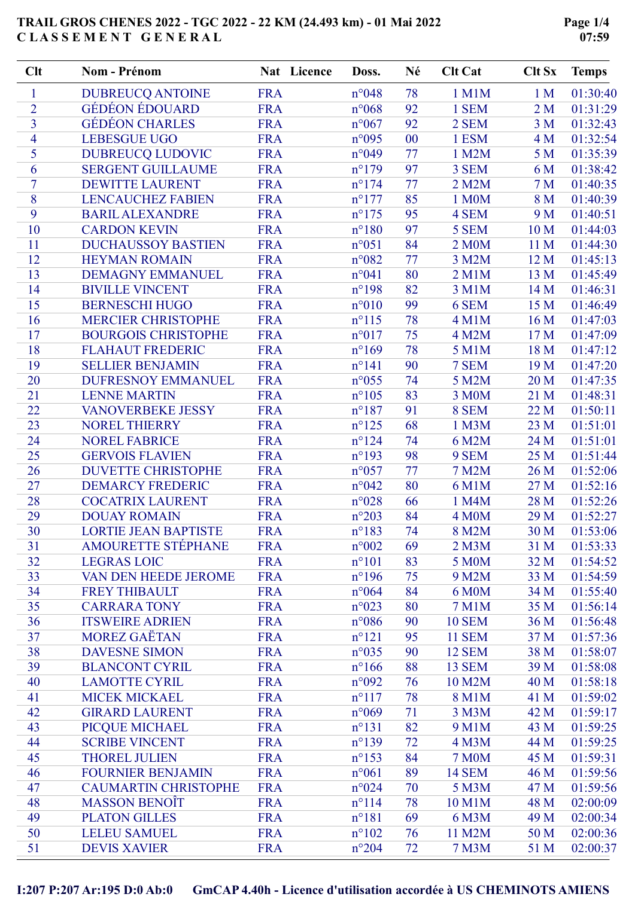| Clt            | Nom - Prénom                | Nat Licence | Doss.           | Né | <b>Clt Cat</b>     | <b>Clt Sx</b>  | <b>Temps</b> |
|----------------|-----------------------------|-------------|-----------------|----|--------------------|----------------|--------------|
| 1              | <b>DUBREUCQ ANTOINE</b>     | <b>FRA</b>  | $n^{\circ}048$  | 78 | 1 M1M              | 1 <sub>M</sub> | 01:30:40     |
| $\overline{2}$ | <b>GÉDÉON ÉDOUARD</b>       | <b>FRA</b>  | $n^{\circ}068$  | 92 | 1 SEM              | 2 <sub>M</sub> | 01:31:29     |
| $\overline{3}$ | <b>GÉDÉON CHARLES</b>       | <b>FRA</b>  | n°067           | 92 | 2 SEM              | 3 <sub>M</sub> | 01:32:43     |
| $\overline{4}$ | <b>LEBESGUE UGO</b>         | <b>FRA</b>  | n°095           | 00 | 1 ESM              | 4 M            | 01:32:54     |
| 5              | <b>DUBREUCQ LUDOVIC</b>     | <b>FRA</b>  | n°049           | 77 | 1 M2M              | 5 <sub>M</sub> | 01:35:39     |
| 6              | <b>SERGENT GUILLAUME</b>    | <b>FRA</b>  | $n^{\circ}179$  | 97 | 3 SEM              | 6 M            | 01:38:42     |
| $\tau$         | <b>DEWITTE LAURENT</b>      | <b>FRA</b>  | $n^{\circ}174$  | 77 | 2 M2M              | 7 <sub>M</sub> | 01:40:35     |
| 8              | <b>LENCAUCHEZ FABIEN</b>    | <b>FRA</b>  | $n^{\circ}177$  | 85 | 1 M0M              | 8 M            | 01:40:39     |
| 9              | <b>BARIL ALEXANDRE</b>      | <b>FRA</b>  | $n^{\circ}175$  | 95 | 4 SEM              | 9 M            | 01:40:51     |
| 10             | <b>CARDON KEVIN</b>         | <b>FRA</b>  | $n^{\circ}180$  | 97 | 5 SEM              | 10 M           | 01:44:03     |
| 11             | <b>DUCHAUSSOY BASTIEN</b>   | <b>FRA</b>  | $n^{\circ}051$  | 84 | 2 M0M              | 11 M           | 01:44:30     |
| 12             | <b>HEYMAN ROMAIN</b>        | <b>FRA</b>  | n°082           | 77 | 3 M2M              | 12 M           | 01:45:13     |
| 13             | <b>DEMAGNY EMMANUEL</b>     | <b>FRA</b>  | n°041           | 80 | $2$ M $1$ M        | 13 M           | 01:45:49     |
| 14             | <b>BIVILLE VINCENT</b>      | <b>FRA</b>  | $n^{\circ}$ 198 | 82 | 3 M1M              | 14 M           | 01:46:31     |
| 15             | <b>BERNESCHI HUGO</b>       | <b>FRA</b>  | $n^{\circ}010$  | 99 | 6 SEM              | 15 M           | 01:46:49     |
| 16             | <b>MERCIER CHRISTOPHE</b>   | <b>FRA</b>  | $n^{\circ}115$  | 78 | <b>4 M1M</b>       | 16 M           | 01:47:03     |
| 17             | <b>BOURGOIS CHRISTOPHE</b>  | <b>FRA</b>  | n°017           | 75 | 4 M2M              | 17 M           | 01:47:09     |
| 18             | <b>FLAHAUT FREDERIC</b>     | <b>FRA</b>  | $n^{\circ}169$  | 78 | 5 M1M              | 18 M           | 01:47:12     |
| 19             | <b>SELLIER BENJAMIN</b>     | <b>FRA</b>  | $n^{\circ}141$  | 90 | 7 SEM              | 19 M           | 01:47:20     |
| 20             | <b>DUFRESNOY EMMANUEL</b>   | <b>FRA</b>  | $n^{\circ}055$  | 74 | 5 M2M              | 20 M           | 01:47:35     |
| 21             | <b>LENNE MARTIN</b>         | <b>FRA</b>  | $n^{\circ}105$  | 83 | 3 M0M              | 21 M           | 01:48:31     |
| 22             | <b>VANOVERBEKE JESSY</b>    | <b>FRA</b>  | $n^{\circ}187$  | 91 | 8 SEM              | 22 M           | 01:50:11     |
| 23             | <b>NOREL THIERRY</b>        | <b>FRA</b>  | $n^{\circ}125$  | 68 | 1 M3M              | 23 M           | 01:51:01     |
| 24             | <b>NOREL FABRICE</b>        | <b>FRA</b>  | $n^{\circ}124$  | 74 | 6 M2M              | 24 M           | 01:51:01     |
| 25             | <b>GERVOIS FLAVIEN</b>      | <b>FRA</b>  | $n^{\circ}193$  | 98 | 9 SEM              | 25 M           | 01:51:44     |
| 26             | <b>DUVETTE CHRISTOPHE</b>   | <b>FRA</b>  | $n^{\circ}057$  | 77 | 7 M2M              | 26 M           | 01:52:06     |
| 27             | <b>DEMARCY FREDERIC</b>     | <b>FRA</b>  | n°042           | 80 | 6 M1M              | 27 M           | 01:52:16     |
| 28             | <b>COCATRIX LAURENT</b>     | <b>FRA</b>  | n°028           | 66 | 1 M4M              | 28 M           | 01:52:26     |
| 29             | <b>DOUAY ROMAIN</b>         | <b>FRA</b>  | $n^{\circ}203$  | 84 | 4 M <sub>0</sub> M | 29 M           | 01:52:27     |
| 30             | <b>LORTIE JEAN BAPTISTE</b> | <b>FRA</b>  | $n^{\circ}183$  | 74 | 8 M2M              | 30 M           | 01:53:06     |
| 31             | <b>AMOURETTE STÉPHANE</b>   | <b>FRA</b>  | $n^{\circ}002$  | 69 | 2 M3M              | 31 M           | 01:53:33     |
| 32             | <b>LEGRAS LOIC</b>          | <b>FRA</b>  | $n^{\circ}101$  | 83 | 5 M0M              | 32 M           | 01:54:52     |
| 33             | VAN DEN HEEDE JEROME        | <b>FRA</b>  | $n^{\circ}$ 196 | 75 | 9 M2M              | 33 M           | 01:54:59     |
| 34             | <b>FREY THIBAULT</b>        | <b>FRA</b>  | $n^{\circ}064$  | 84 | 6 M0M              | 34 M           | 01:55:40     |
| 35             | <b>CARRARA TONY</b>         | <b>FRA</b>  | $n^{\circ}023$  | 80 | <b>7 M1M</b>       | 35 M           | 01:56:14     |
| 36             | <b>ITSWEIRE ADRIEN</b>      | <b>FRA</b>  | $n^{\circ}086$  | 90 | <b>10 SEM</b>      | 36 M           | 01:56:48     |
| 37             | <b>MOREZ GAËTAN</b>         | <b>FRA</b>  | $n^{\circ}121$  | 95 | <b>11 SEM</b>      | 37 M           | 01:57:36     |
| 38             | <b>DAVESNE SIMON</b>        | <b>FRA</b>  | $n^{\circ}035$  | 90 | <b>12 SEM</b>      | 38 M           | 01:58:07     |
| 39             | <b>BLANCONT CYRIL</b>       | <b>FRA</b>  | $n^{\circ}166$  | 88 | <b>13 SEM</b>      | 39 M           | 01:58:08     |
| 40             | <b>LAMOTTE CYRIL</b>        | <b>FRA</b>  | $n^{\circ}092$  | 76 | 10 M2M             | 40 M           | 01:58:18     |
| 41             | <b>MICEK MICKAEL</b>        | <b>FRA</b>  | $n^{\circ}117$  | 78 | 8 M1M              | 41 M           | 01:59:02     |
| 42             | <b>GIRARD LAURENT</b>       | <b>FRA</b>  | $n^{\circ}069$  | 71 | 3 M3M              | 42 M           | 01:59:17     |
| 43             | PICQUE MICHAEL              | <b>FRA</b>  | $n^{\circ}131$  | 82 | 9 M1M              | 43 M           | 01:59:25     |
| 44             | <b>SCRIBE VINCENT</b>       | <b>FRA</b>  | $n^{\circ}139$  | 72 | 4 M3M              | 44 M           | 01:59:25     |
| 45             | <b>THOREL JULIEN</b>        | <b>FRA</b>  | $n^{\circ}153$  | 84 | <b>7 M0M</b>       | 45 M           | 01:59:31     |
| 46             | <b>FOURNIER BENJAMIN</b>    | <b>FRA</b>  | $n^{\circ}061$  | 89 | <b>14 SEM</b>      | 46 M           | 01:59:56     |
| 47             | <b>CAUMARTIN CHRISTOPHE</b> | <b>FRA</b>  | n°024           | 70 | 5 M3M              | 47 M           | 01:59:56     |
| 48             | <b>MASSON BENOIT</b>        | <b>FRA</b>  | $n^{\circ}114$  | 78 | 10 M1M             | 48 M           | 02:00:09     |
| 49             | <b>PLATON GILLES</b>        | <b>FRA</b>  | $n^{\circ}181$  | 69 | 6 M3M              | 49 M           | 02:00:34     |
| 50             | <b>LELEU SAMUEL</b>         | <b>FRA</b>  | $n^{\circ}102$  | 76 | 11 M2M             | 50 M           | 02:00:36     |
| 51             | <b>DEVIS XAVIER</b>         | <b>FRA</b>  | $n^{\circ}204$  | 72 | <b>7 M3M</b>       | 51 M           | 02:00:37     |

I:207 P:207 Ar:195 D:0 Ab:0 GmCAP 4.40h - Licence d'utilisation accordée à US CHEMINOTS AMIENS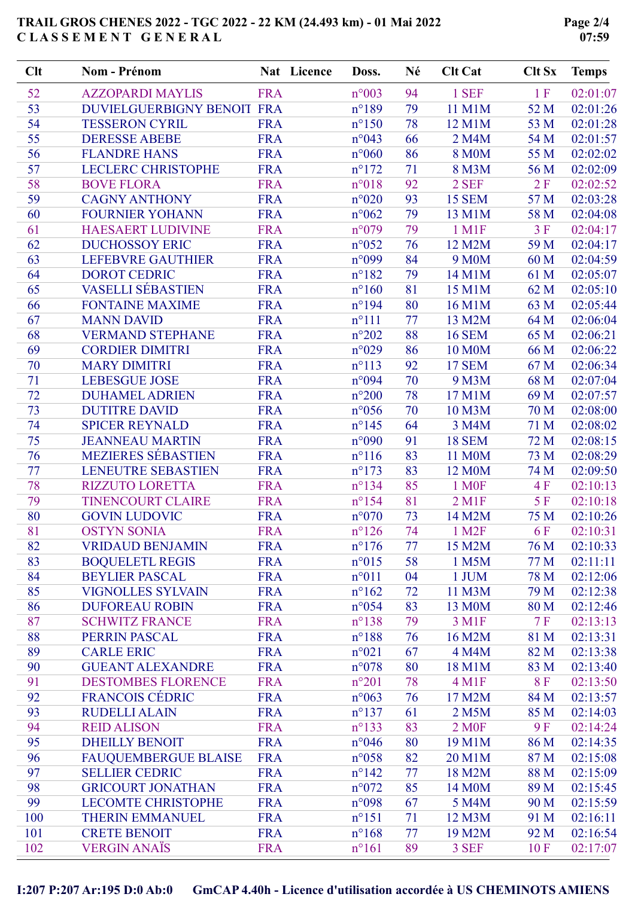Page 2/4 07:59

| Clt | <b>Nom - Prénom</b>                             | Nat Licence              | Doss.           | Né       | <b>Clt Cat</b>     | <b>Clt Sx</b> | <b>Temps</b> |
|-----|-------------------------------------------------|--------------------------|-----------------|----------|--------------------|---------------|--------------|
| 52  | <b>AZZOPARDI MAYLIS</b>                         | <b>FRA</b>               | $n^{\circ}003$  | 94       | 1 SEF              | 1 F           | 02:01:07     |
| 53  | DUVIELGUERBIGNY BENOIT FRA                      |                          | $n^{\circ}189$  | 79       | 11 M1M             | 52 M          | 02:01:26     |
| 54  | <b>TESSERON CYRIL</b>                           | <b>FRA</b>               | $n^{\circ}150$  | 78       | 12 M1M             | 53 M          | 02:01:28     |
| 55  | <b>DERESSE ABEBE</b>                            | <b>FRA</b>               | n°043           | 66       | 2 M4M              | 54 M          | 02:01:57     |
| 56  | <b>FLANDRE HANS</b>                             | <b>FRA</b>               | $n^{\circ}060$  | 86       | <b>8 M0M</b>       | 55 M          | 02:02:02     |
| 57  | <b>LECLERC CHRISTOPHE</b>                       | <b>FRA</b>               | $n^{\circ}172$  | 71       | 8 M3M              | 56 M          | 02:02:09     |
| 58  | <b>BOVE FLORA</b>                               | <b>FRA</b>               | $n^{\circ}018$  | 92       | 2 SEF              | 2F            | 02:02:52     |
| 59  | <b>CAGNY ANTHONY</b>                            | <b>FRA</b>               | $n^{\circ}020$  | 93       | <b>15 SEM</b>      | 57 M          | 02:03:28     |
| 60  | <b>FOURNIER YOHANN</b>                          | <b>FRA</b>               | $n^{\circ}062$  | 79       | 13 M1M             | 58 M          | 02:04:08     |
| 61  | <b>HAESAERT LUDIVINE</b>                        | <b>FRA</b>               | n°079           | 79       | 1 M1F              | 3F            | 02:04:17     |
| 62  | <b>DUCHOSSOY ERIC</b>                           | <b>FRA</b>               | $n^{\circ}052$  | 76       | 12 M2M             | 59 M          | 02:04:17     |
| 63  | <b>LEFEBVRE GAUTHIER</b>                        | <b>FRA</b>               | n°099           | 84       | 9 M <sub>0</sub> M | 60 M          | 02:04:59     |
| 64  | <b>DOROT CEDRIC</b>                             | <b>FRA</b>               | $n^{\circ}182$  | 79       | 14 M1M             | 61 M          | 02:05:07     |
| 65  | <b>VASELLI SÉBASTIEN</b>                        | <b>FRA</b>               | $n^{\circ}160$  | 81       | 15 M1M             | 62 M          | 02:05:10     |
| 66  | <b>FONTAINE MAXIME</b>                          | <b>FRA</b>               | $n^{\circ}194$  | 80       | 16 M1M             | 63 M          | 02:05:44     |
| 67  | <b>MANN DAVID</b>                               | <b>FRA</b>               | $n^{\circ}111$  | 77       | 13 M2M             | 64 M          | 02:06:04     |
| 68  | <b>VERMAND STEPHANE</b>                         | <b>FRA</b>               | $n^{\circ}202$  | 88       | <b>16 SEM</b>      | 65 M          | 02:06:21     |
| 69  | <b>CORDIER DIMITRI</b>                          | <b>FRA</b>               | n°029           | 86       | 10 M0M             | 66 M          | 02:06:22     |
| 70  | <b>MARY DIMITRI</b>                             | <b>FRA</b>               | $n^{\circ}113$  | 92       | <b>17 SEM</b>      | 67 M          | 02:06:34     |
| 71  | <b>LEBESGUE JOSE</b>                            | <b>FRA</b>               | n°094           | 70       | 9 M3M              | 68 M          | 02:07:04     |
| 72  | <b>DUHAMEL ADRIEN</b>                           | <b>FRA</b>               | $n^{\circ}200$  | 78       | 17 M1M             | 69 M          | 02:07:57     |
| 73  | <b>DUTITRE DAVID</b>                            | <b>FRA</b>               | $n^{\circ}056$  | 70       | 10 M3M             | 70 M          | 02:08:00     |
| 74  | <b>SPICER REYNALD</b>                           | <b>FRA</b>               | $n^{\circ}$ 145 | 64       | 3 M4M              | 71 M          | 02:08:02     |
| 75  | <b>JEANNEAU MARTIN</b>                          | <b>FRA</b>               | n°090           | 91       | <b>18 SEM</b>      | 72 M          | 02:08:15     |
| 76  | <b>MEZIERES SÉBASTIEN</b>                       | <b>FRA</b>               | $n^{\circ}116$  | 83       | 11 M0M             | 73 M          | 02:08:29     |
| 77  | <b>LENEUTRE SEBASTIEN</b>                       | <b>FRA</b>               | $n^{\circ}173$  | 83       | 12 M0M             | 74 M          | 02:09:50     |
| 78  | <b>RIZZUTO LORETTA</b>                          | <b>FRA</b>               | $n^{\circ}$ 134 | 85       | 1 M <sub>OF</sub>  | 4F            | 02:10:13     |
| 79  | <b>TINENCOURT CLAIRE</b>                        | <b>FRA</b>               | $n^{\circ}154$  | 81       | $2$ M1F            | 5F            | 02:10:18     |
| 80  | <b>GOVIN LUDOVIC</b>                            | <b>FRA</b>               | n°070           | 73       | 14 M2M             | 75 M          | 02:10:26     |
| 81  | <b>OSTYN SONIA</b>                              | <b>FRA</b>               | $n^{\circ}126$  | 74       | 1 M <sub>2</sub> F | <b>6F</b>     | 02:10:31     |
| 82  | <b>VRIDAUD BENJAMIN</b>                         |                          | $n^{\circ}176$  |          |                    | 76 M          | 02:10:33     |
| 83  |                                                 | <b>FRA</b><br><b>FRA</b> |                 | 77<br>58 | 15 M2M             | 77 M          | 02:11:11     |
| 84  | <b>BOQUELETL REGIS</b><br><b>BEYLIER PASCAL</b> | <b>FRA</b>               | $n^{\circ}015$  | 04       | 1 M5M<br>1 JUM     | 78 M          | 02:12:06     |
|     |                                                 |                          | $n^{\circ}011$  |          |                    |               |              |
| 85  | <b>VIGNOLLES SYLVAIN</b>                        | <b>FRA</b>               | $n^{\circ}162$  | 72       | 11 M3M             | 79 M          | 02:12:38     |
| 86  | <b>DUFOREAU ROBIN</b>                           | <b>FRA</b>               | $n^{\circ}054$  | 83       | 13 M0M             | 80 M          | 02:12:46     |
| 87  | <b>SCHWITZ FRANCE</b>                           | <b>FRA</b>               | $n^{\circ}$ 138 | 79       | 3 M1F              | 7F            | 02:13:13     |
| 88  | PERRIN PASCAL                                   | <b>FRA</b>               | $n^{\circ}188$  | 76       | 16 M2M             | 81 M          | 02:13:31     |
| 89  | <b>CARLE ERIC</b>                               | <b>FRA</b>               | $n^{\circ}021$  | 67       | 4 M4M              | 82 M          | 02:13:38     |
| 90  | <b>GUEANT ALEXANDRE</b>                         | <b>FRA</b>               | $n^{\circ}078$  | 80       | 18 M1M             | 83 M          | 02:13:40     |
| 91  | <b>DESTOMBES FLORENCE</b>                       | <b>FRA</b>               | $n^{\circ}201$  | 78       | 4 M1F              | 8F            | 02:13:50     |
| 92  | <b>FRANCOIS CÉDRIC</b>                          | <b>FRA</b>               | $n^{\circ}063$  | 76       | 17 M2M             | 84 M          | 02:13:57     |
| 93  | <b>RUDELLI ALAIN</b>                            | <b>FRA</b>               | $n^{\circ}137$  | 61       | 2 M5M              | 85 M          | 02:14:03     |
| 94  | <b>REID ALISON</b>                              | <b>FRA</b>               | $n^{\circ}$ 133 | 83       | 2 M <sub>OF</sub>  | 9F            | 02:14:24     |
| 95  | <b>DHEILLY BENOIT</b>                           | <b>FRA</b>               | $n^{\circ}046$  | 80       | 19 M1M             | 86 M          | 02:14:35     |
| 96  | <b>FAUQUEMBERGUE BLAISE</b>                     | <b>FRA</b>               | $n^{\circ}058$  | 82       | 20 M1M             | 87 M          | 02:15:08     |
| 97  | <b>SELLIER CEDRIC</b>                           | <b>FRA</b>               | $n^{\circ}142$  | 77       | 18 M2M             | 88 M          | 02:15:09     |
| 98  | <b>GRICOURT JONATHAN</b>                        | <b>FRA</b>               | $n^{\circ}072$  | 85       | 14 M0M             | 89 M          | 02:15:45     |
| 99  | <b>LECOMTE CHRISTOPHE</b>                       | <b>FRA</b>               | n°098           | 67       | 5 M4M              | 90 M          | 02:15:59     |
| 100 | <b>THERIN EMMANUEL</b>                          | <b>FRA</b>               | $n^{\circ}151$  | 71       | 12 M3M             | 91 M          | 02:16:11     |
| 101 | <b>CRETE BENOIT</b>                             | <b>FRA</b>               | $n^{\circ}168$  | 77       | 19 M2M             | 92 M          | 02:16:54     |
| 102 | <b>VERGIN ANAÏS</b>                             | <b>FRA</b>               | $n^{\circ}161$  | 89       | 3 SEF              | 10 F          | 02:17:07     |

I:207 P:207 Ar:195 D:0 Ab:0 GmCAP 4.40h - Licence d'utilisation accordée à US CHEMINOTS AMIENS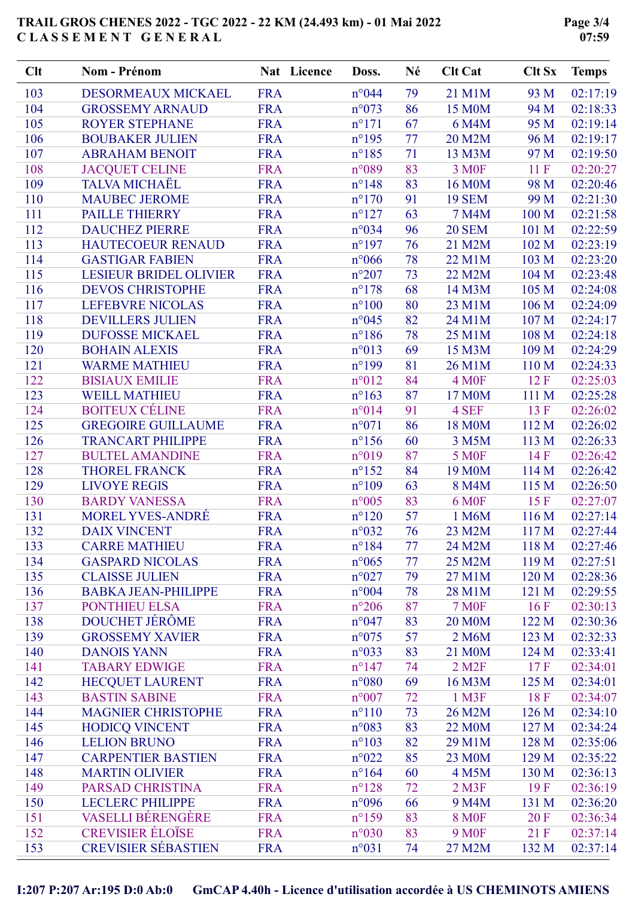Page 3/4 07:59

| Clt | <b>Nom - Prénom</b>        | Nat Licence | Doss.           | Né | <b>Clt Cat</b>         | <b>Clt Sx</b> | <b>Temps</b> |
|-----|----------------------------|-------------|-----------------|----|------------------------|---------------|--------------|
| 103 | DESORMEAUX MICKAEL         | <b>FRA</b>  | n°044           | 79 | 21 M1M                 | 93 M          | 02:17:19     |
| 104 | <b>GROSSEMY ARNAUD</b>     | <b>FRA</b>  | $n^{\circ}073$  | 86 | 15 M0M                 | 94 M          | 02:18:33     |
| 105 | <b>ROYER STEPHANE</b>      | <b>FRA</b>  | $n^{\circ}171$  | 67 | 6 M4M                  | 95 M          | 02:19:14     |
| 106 | <b>BOUBAKER JULIEN</b>     | <b>FRA</b>  | $n^{\circ}$ 195 | 77 | 20 M2M                 | 96 M          | 02:19:17     |
| 107 | <b>ABRAHAM BENOIT</b>      | <b>FRA</b>  | $n^{\circ}185$  | 71 | 13 M3M                 | 97 M          | 02:19:50     |
| 108 | <b>JACQUET CELINE</b>      | <b>FRA</b>  | n°089           | 83 | 3 M <sub>OF</sub>      | 11F           | 02:20:27     |
| 109 | <b>TALVA MICHAËL</b>       | <b>FRA</b>  | $n^{\circ}148$  | 83 | 16 M0M                 | 98 M          | 02:20:46     |
| 110 | <b>MAUBEC JEROME</b>       | <b>FRA</b>  | $n^{\circ}170$  | 91 | <b>19 SEM</b>          | 99 M          | 02:21:30     |
| 111 | <b>PAILLE THIERRY</b>      | <b>FRA</b>  | $n^{\circ}127$  | 63 | <b>7 M4M</b>           | 100 M         | 02:21:58     |
| 112 | <b>DAUCHEZ PIERRE</b>      | <b>FRA</b>  | n°034           | 96 | <b>20 SEM</b>          | 101 M         | 02:22:59     |
| 113 | <b>HAUTECOEUR RENAUD</b>   | <b>FRA</b>  | $n^{\circ}197$  | 76 | 21 M2M                 | 102 M         | 02:23:19     |
| 114 | <b>GASTIGAR FABIEN</b>     | <b>FRA</b>  | $n^{\circ}066$  | 78 | 22 M1M                 | 103 M         | 02:23:20     |
| 115 | LESIEUR BRIDEL OLIVIER     | <b>FRA</b>  | $n^{\circ}207$  | 73 | 22 M2M                 | 104 M         | 02:23:48     |
| 116 | <b>DEVOS CHRISTOPHE</b>    | <b>FRA</b>  | $n^{\circ}178$  | 68 | 14 M3M                 | 105 M         | 02:24:08     |
| 117 | <b>LEFEBVRE NICOLAS</b>    | <b>FRA</b>  | $n^{\circ}100$  | 80 | 23 M1M                 | 106 M         | 02:24:09     |
| 118 | <b>DEVILLERS JULIEN</b>    | <b>FRA</b>  | $n^{\circ}045$  | 82 | 24 M1M                 | 107 M         | 02:24:17     |
| 119 | <b>DUFOSSE MICKAEL</b>     | <b>FRA</b>  | $n^{\circ}186$  | 78 | 25 M1M                 | 108 M         | 02:24:18     |
| 120 | <b>BOHAIN ALEXIS</b>       | <b>FRA</b>  | $n^{\circ}013$  | 69 | 15 M3M                 | 109 M         | 02:24:29     |
| 121 | <b>WARME MATHIEU</b>       | <b>FRA</b>  | $n^{\circ}199$  | 81 | 26 M1M                 | 110 M         | 02:24:33     |
| 122 | <b>BISIAUX EMILIE</b>      | <b>FRA</b>  | $n^{\circ}012$  | 84 | 4 M <sub>OF</sub>      | 12F           | 02:25:03     |
| 123 | <b>WEILL MATHIEU</b>       | <b>FRA</b>  | $n^{\circ}163$  | 87 | 17 M0M                 | 111 M         | 02:25:28     |
| 124 | <b>BOITEUX CÉLINE</b>      | <b>FRA</b>  | n°014           | 91 | 4 SEF                  | 13F           | 02:26:02     |
| 125 | <b>GREGOIRE GUILLAUME</b>  | <b>FRA</b>  | $n^{\circ}071$  | 86 | 18 M0M                 | 112 M         | 02:26:02     |
| 126 | <b>TRANCART PHILIPPE</b>   | <b>FRA</b>  | $n^{\circ}156$  | 60 | 3 M5M                  | 113 M         | 02:26:33     |
| 127 | <b>BULTEL AMANDINE</b>     | <b>FRA</b>  | n°019           | 87 | <b>5 MOF</b>           | 14 F          | 02:26:42     |
| 128 | <b>THOREL FRANCK</b>       | <b>FRA</b>  | $n^{\circ}152$  | 84 | 19 M0M                 | 114 M         | 02:26:42     |
| 129 | <b>LIVOYE REGIS</b>        | <b>FRA</b>  | $n^{\circ}109$  | 63 | 8 M4M                  | 115 M         | 02:26:50     |
| 130 | <b>BARDY VANESSA</b>       | <b>FRA</b>  | $n^{\circ}005$  | 83 | <b>6 M0F</b>           | 15F           | 02:27:07     |
| 131 | <b>MOREL YVES-ANDRÉ</b>    | <b>FRA</b>  | $n^{\circ}120$  | 57 | 1 M6M                  | 116 M         | 02:27:14     |
| 132 | <b>DAIX VINCENT</b>        | <b>FRA</b>  | n°032           | 76 | 23 M2M                 | 117 M         | 02:27:44     |
| 133 | <b>CARRE MATHIEU</b>       | <b>FRA</b>  | $n^{\circ}184$  | 77 | 24 M2M                 | 118 M         | 02:27:46     |
| 134 | <b>GASPARD NICOLAS</b>     | <b>FRA</b>  | $n^{\circ}065$  | 77 | 25 M2M                 | 119 M         | 02:27:51     |
| 135 | <b>CLAISSE JULIEN</b>      | <b>FRA</b>  | $n^{\circ}027$  | 79 | 27 M1M                 | 120 M         | 02:28:36     |
| 136 | <b>BABKA JEAN-PHILIPPE</b> | <b>FRA</b>  | $n^{\circ}004$  | 78 | 28 M1M                 | 121 M         | 02:29:55     |
| 137 | <b>PONTHIEU ELSA</b>       | <b>FRA</b>  | $n^{\circ}206$  | 87 | <b>7 MOF</b>           | 16F           | 02:30:13     |
| 138 | DOUCHET JÉRÔME             | <b>FRA</b>  | $n^{\circ}047$  | 83 |                        | 122 M         | 02:30:36     |
| 139 | <b>GROSSEMY XAVIER</b>     | <b>FRA</b>  |                 | 57 | <b>20 M0M</b>          | 123 M         | 02:32:33     |
|     |                            |             | $n^{\circ}075$  |    | 2 M6M                  | 124 M         |              |
| 140 | <b>DANOIS YANN</b>         | <b>FRA</b>  | $n^{\circ}033$  | 83 | 21 M0M                 |               | 02:33:41     |
| 141 | <b>TABARY EDWIGE</b>       | <b>FRA</b>  | $n^{\circ}$ 147 | 74 | $2$ M <sub>2</sub> $F$ | 17F           | 02:34:01     |
| 142 | <b>HECQUET LAURENT</b>     | <b>FRA</b>  | $n^{\circ}080$  | 69 | 16 M3M                 | 125 M         | 02:34:01     |
| 143 | <b>BASTIN SABINE</b>       | <b>FRA</b>  | $n^{\circ}007$  | 72 | 1 M3F                  | 18F           | 02:34:07     |
| 144 | <b>MAGNIER CHRISTOPHE</b>  | <b>FRA</b>  | $n^{\circ}110$  | 73 | 26 M2M                 | 126 M         | 02:34:10     |
| 145 | <b>HODICQ VINCENT</b>      | <b>FRA</b>  | $n^{\circ}083$  | 83 | 22 M0M                 | 127 M         | 02:34:24     |
| 146 | <b>LELION BRUNO</b>        | <b>FRA</b>  | $n^{\circ}103$  | 82 | 29 M1M                 | 128 M         | 02:35:06     |
| 147 | <b>CARPENTIER BASTIEN</b>  | <b>FRA</b>  | $n^{\circ}022$  | 85 | 23 M0M                 | 129 M         | 02:35:22     |
| 148 | <b>MARTIN OLIVIER</b>      | <b>FRA</b>  | $n^{\circ}164$  | 60 | 4 M5M                  | 130 M         | 02:36:13     |
| 149 | PARSAD CHRISTINA           | <b>FRA</b>  | $n^{\circ}128$  | 72 | $2$ M3F                | 19F           | 02:36:19     |
| 150 | <b>LECLERC PHILIPPE</b>    | <b>FRA</b>  | n°096           | 66 | 9 M4M                  | 131 M         | 02:36:20     |
| 151 | <b>VASELLI BÉRENGÈRE</b>   | <b>FRA</b>  | $n^{\circ}159$  | 83 | <b>8 MOF</b>           | 20F           | 02:36:34     |
| 152 | <b>CREVISIER ÉLOÏSE</b>    | <b>FRA</b>  | $n^{\circ}030$  | 83 | <b>9 M0F</b>           | 21 F          | 02:37:14     |
| 153 | <b>CREVISIER SÉBASTIEN</b> | <b>FRA</b>  | $n^{\circ}031$  | 74 | 27 M2M                 | 132 M         | 02:37:14     |

I:207 P:207 Ar:195 D:0 Ab:0 GmCAP 4.40h - Licence d'utilisation accordée à US CHEMINOTS AMIENS